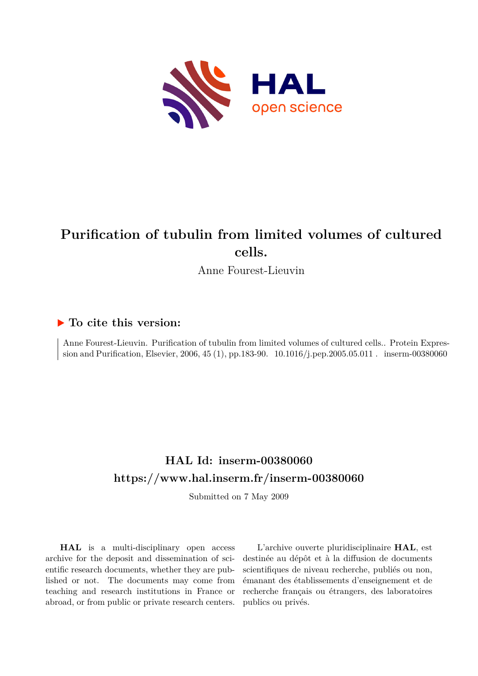

# **Purification of tubulin from limited volumes of cultured cells.**

Anne Fourest-Lieuvin

## **To cite this version:**

Anne Fourest-Lieuvin. Purification of tubulin from limited volumes of cultured cells.. Protein Expression and Purification, Elsevier, 2006, 45 (1), pp.183-90.  $10.1016/j.$ pep.2005.05.011. inserm-00380060

## **HAL Id: inserm-00380060 <https://www.hal.inserm.fr/inserm-00380060>**

Submitted on 7 May 2009

**HAL** is a multi-disciplinary open access archive for the deposit and dissemination of scientific research documents, whether they are published or not. The documents may come from teaching and research institutions in France or abroad, or from public or private research centers.

L'archive ouverte pluridisciplinaire **HAL**, est destinée au dépôt et à la diffusion de documents scientifiques de niveau recherche, publiés ou non, émanant des établissements d'enseignement et de recherche français ou étrangers, des laboratoires publics ou privés.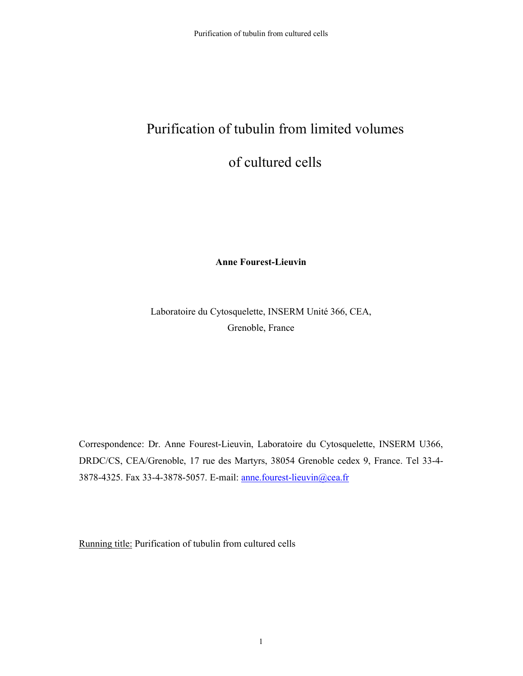# Purification of tubulin from limited volumes

## of cultured cells

**Anne Fourest-Lieuvin** 

Laboratoire du Cytosquelette, INSERM Unité 366, CEA, Grenoble, France

Correspondence: Dr. Anne Fourest-Lieuvin, Laboratoire du Cytosquelette, INSERM U366, DRDC/CS, CEA/Grenoble, 17 rue des Martyrs, 38054 Grenoble cedex 9, France. Tel 33-4- 3878-4325. Fax 33-4-3878-5057. E-mail: anne.fourest-lieuvin@cea.fr

Running title: Purification of tubulin from cultured cells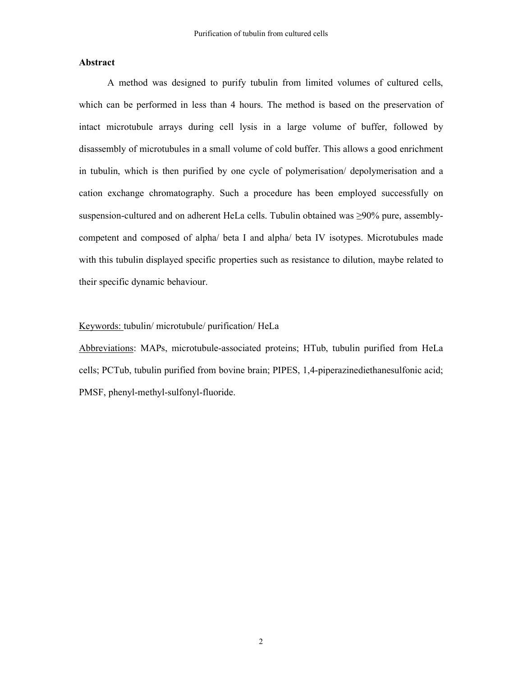#### **Abstract**

A method was designed to purify tubulin from limited volumes of cultured cells, which can be performed in less than 4 hours. The method is based on the preservation of intact microtubule arrays during cell lysis in a large volume of buffer, followed by disassembly of microtubules in a small volume of cold buffer. This allows a good enrichment in tubulin, which is then purified by one cycle of polymerisation/ depolymerisation and a cation exchange chromatography. Such a procedure has been employed successfully on suspension-cultured and on adherent HeLa cells. Tubulin obtained was ≥90% pure, assemblycompetent and composed of alpha/ beta I and alpha/ beta IV isotypes. Microtubules made with this tubulin displayed specific properties such as resistance to dilution, maybe related to their specific dynamic behaviour.

#### Keywords: tubulin/ microtubule/ purification/ HeLa

Abbreviations: MAPs, microtubule-associated proteins; HTub, tubulin purified from HeLa cells; PCTub, tubulin purified from bovine brain; PIPES, 1,4-piperazinediethanesulfonic acid; PMSF, phenyl-methyl-sulfonyl-fluoride.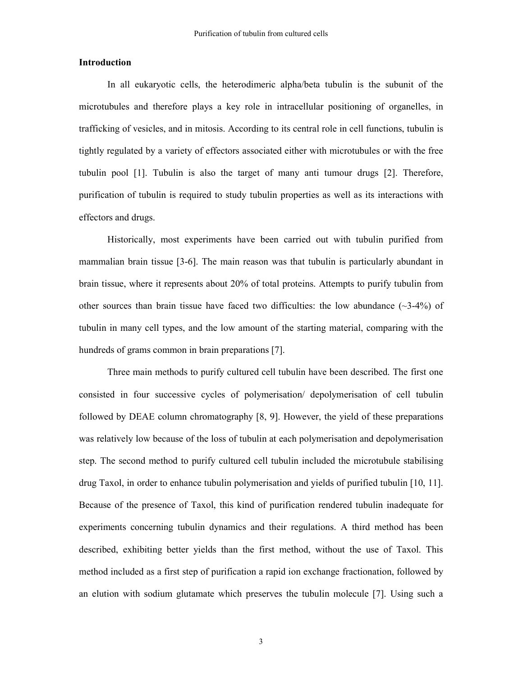#### **Introduction**

In all eukaryotic cells, the heterodimeric alpha/beta tubulin is the subunit of the microtubules and therefore plays a key role in intracellular positioning of organelles, in trafficking of vesicles, and in mitosis. According to its central role in cell functions, tubulin is tightly regulated by a variety of effectors associated either with microtubules or with the free tubulin pool [1]. Tubulin is also the target of many anti tumour drugs [2]. Therefore, purification of tubulin is required to study tubulin properties as well as its interactions with effectors and drugs.

Historically, most experiments have been carried out with tubulin purified from mammalian brain tissue [3-6]. The main reason was that tubulin is particularly abundant in brain tissue, where it represents about 20% of total proteins. Attempts to purify tubulin from other sources than brain tissue have faced two difficulties: the low abundance  $(\sim 3-4\%)$  of tubulin in many cell types, and the low amount of the starting material, comparing with the hundreds of grams common in brain preparations [7].

Three main methods to purify cultured cell tubulin have been described. The first one consisted in four successive cycles of polymerisation/ depolymerisation of cell tubulin followed by DEAE column chromatography [8, 9]. However, the yield of these preparations was relatively low because of the loss of tubulin at each polymerisation and depolymerisation step. The second method to purify cultured cell tubulin included the microtubule stabilising drug Taxol, in order to enhance tubulin polymerisation and yields of purified tubulin [10, 11]. Because of the presence of Taxol, this kind of purification rendered tubulin inadequate for experiments concerning tubulin dynamics and their regulations. A third method has been described, exhibiting better yields than the first method, without the use of Taxol. This method included as a first step of purification a rapid ion exchange fractionation, followed by an elution with sodium glutamate which preserves the tubulin molecule [7]. Using such a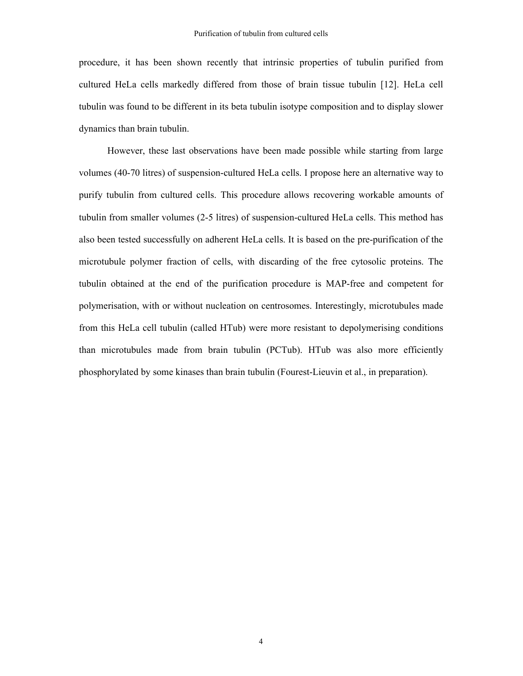procedure, it has been shown recently that intrinsic properties of tubulin purified from cultured HeLa cells markedly differed from those of brain tissue tubulin [12]. HeLa cell tubulin was found to be different in its beta tubulin isotype composition and to display slower dynamics than brain tubulin.

However, these last observations have been made possible while starting from large volumes (40-70 litres) of suspension-cultured HeLa cells. I propose here an alternative way to purify tubulin from cultured cells. This procedure allows recovering workable amounts of tubulin from smaller volumes (2-5 litres) of suspension-cultured HeLa cells. This method has also been tested successfully on adherent HeLa cells. It is based on the pre-purification of the microtubule polymer fraction of cells, with discarding of the free cytosolic proteins. The tubulin obtained at the end of the purification procedure is MAP-free and competent for polymerisation, with or without nucleation on centrosomes. Interestingly, microtubules made from this HeLa cell tubulin (called HTub) were more resistant to depolymerising conditions than microtubules made from brain tubulin (PCTub). HTub was also more efficiently phosphorylated by some kinases than brain tubulin (Fourest-Lieuvin et al., in preparation).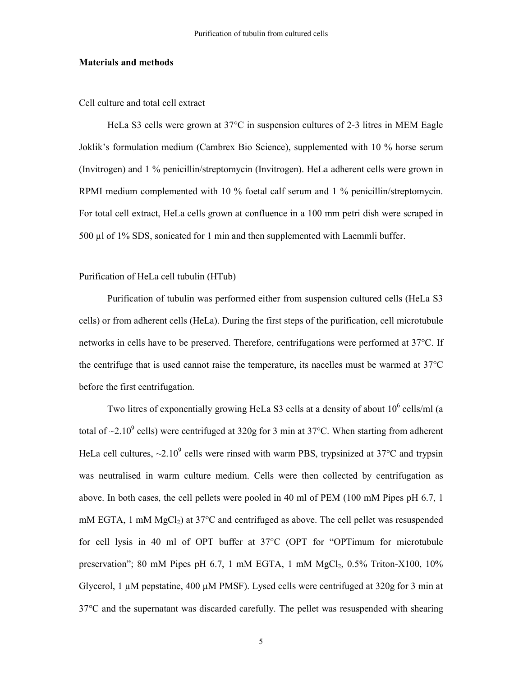#### **Materials and methods**

Cell culture and total cell extract

HeLa S3 cells were grown at 37°C in suspension cultures of 2-3 litres in MEM Eagle Joklik's formulation medium (Cambrex Bio Science), supplemented with 10 % horse serum (Invitrogen) and 1 % penicillin/streptomycin (Invitrogen). HeLa adherent cells were grown in RPMI medium complemented with 10 % foetal calf serum and 1 % penicillin/streptomycin. For total cell extract, HeLa cells grown at confluence in a 100 mm petri dish were scraped in 500 µl of 1% SDS, sonicated for 1 min and then supplemented with Laemmli buffer.

#### Purification of HeLa cell tubulin (HTub)

Purification of tubulin was performed either from suspension cultured cells (HeLa S3 cells) or from adherent cells (HeLa). During the first steps of the purification, cell microtubule networks in cells have to be preserved. Therefore, centrifugations were performed at 37°C. If the centrifuge that is used cannot raise the temperature, its nacelles must be warmed at 37°C before the first centrifugation.

Two litres of exponentially growing HeLa S3 cells at a density of about  $10^6$  cells/ml (a total of  $\sim$ 2.10<sup>9</sup> cells) were centrifuged at 320g for 3 min at 37°C. When starting from adherent HeLa cell cultures,  $\sim$ 2.10<sup>9</sup> cells were rinsed with warm PBS, trypsinized at 37°C and trypsin was neutralised in warm culture medium. Cells were then collected by centrifugation as above. In both cases, the cell pellets were pooled in 40 ml of PEM (100 mM Pipes pH 6.7, 1 mM EGTA, 1 mM  $MgCl<sub>2</sub>$ ) at 37°C and centrifuged as above. The cell pellet was resuspended for cell lysis in 40 ml of OPT buffer at 37°C (OPT for "OPTimum for microtubule preservation"; 80 mM Pipes pH 6.7, 1 mM EGTA, 1 mM  $MgCl<sub>2</sub>$ , 0.5% Triton-X100, 10% Glycerol, 1 µM pepstatine, 400 µM PMSF). Lysed cells were centrifuged at 320g for 3 min at 37°C and the supernatant was discarded carefully. The pellet was resuspended with shearing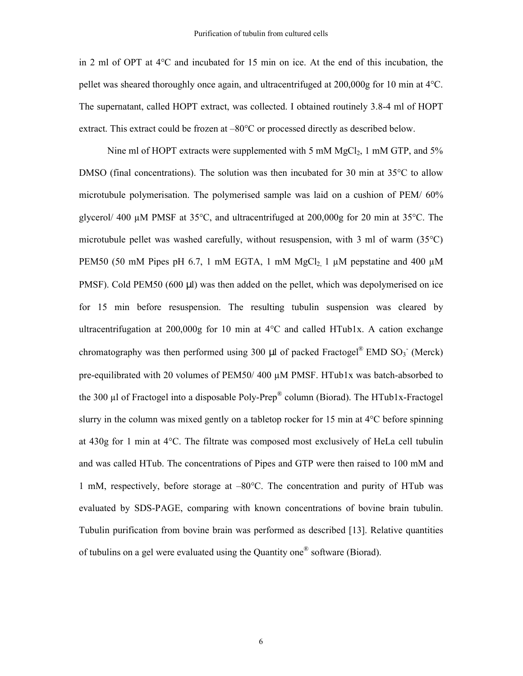in 2 ml of OPT at 4°C and incubated for 15 min on ice. At the end of this incubation, the pellet was sheared thoroughly once again, and ultracentrifuged at 200,000g for 10 min at 4°C. The supernatant, called HOPT extract, was collected. I obtained routinely 3.8-4 ml of HOPT extract. This extract could be frozen at –80°C or processed directly as described below.

Nine ml of HOPT extracts were supplemented with 5 mM  $MgCl<sub>2</sub>$ , 1 mM GTP, and 5% DMSO (final concentrations). The solution was then incubated for 30 min at 35<sup>o</sup>C to allow microtubule polymerisation. The polymerised sample was laid on a cushion of PEM/ 60% glycerol/ 400 µM PMSF at 35°C, and ultracentrifuged at 200,000g for 20 min at 35°C. The microtubule pellet was washed carefully, without resuspension, with 3 ml of warm (35°C) PEM50 (50 mM Pipes pH 6.7, 1 mM EGTA, 1 mM  $MgCl<sub>2</sub>$  1  $\mu$ M pepstatine and 400  $\mu$ M PMSF). Cold PEM50 (600 µl) was then added on the pellet, which was depolymerised on ice for 15 min before resuspension. The resulting tubulin suspension was cleared by ultracentrifugation at  $200,000g$  for 10 min at  $4^{\circ}$ C and called HTub1x. A cation exchange chromatography was then performed using 300  $\mu$ l of packed Fractogel<sup>®</sup> EMD SO<sub>3</sub> (Merck) pre-equilibrated with 20 volumes of PEM50/ 400 µM PMSF. HTub1x was batch-absorbed to the 300 µl of Fractogel into a disposable Poly-Prep® column (Biorad). The HTub1x-Fractogel slurry in the column was mixed gently on a tabletop rocker for 15 min at 4°C before spinning at 430g for 1 min at 4°C. The filtrate was composed most exclusively of HeLa cell tubulin and was called HTub. The concentrations of Pipes and GTP were then raised to 100 mM and 1 mM, respectively, before storage at –80°C. The concentration and purity of HTub was evaluated by SDS-PAGE, comparing with known concentrations of bovine brain tubulin. Tubulin purification from bovine brain was performed as described [13]. Relative quantities of tubulins on a gel were evaluated using the Quantity one® software (Biorad).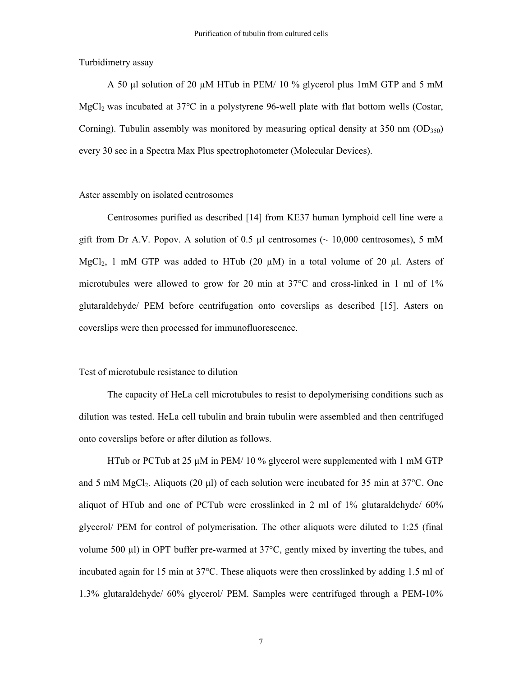Turbidimetry assay

A 50 µl solution of 20 µM HTub in PEM/ 10 % glycerol plus 1mM GTP and 5 mM MgCl<sub>2</sub> was incubated at 37<sup>o</sup>C in a polystyrene 96-well plate with flat bottom wells (Costar, Corning). Tubulin assembly was monitored by measuring optical density at 350 nm  $(OD_{350})$ every 30 sec in a Spectra Max Plus spectrophotometer (Molecular Devices).

#### Aster assembly on isolated centrosomes

Centrosomes purified as described [14] from KE37 human lymphoid cell line were a gift from Dr A.V. Popov. A solution of 0.5  $\mu$ l centrosomes ( $\sim$  10,000 centrosomes), 5 mM MgCl<sub>2</sub>, 1 mM GTP was added to HTub (20  $\mu$ M) in a total volume of 20  $\mu$ l. Asters of microtubules were allowed to grow for 20 min at  $37^{\circ}$ C and cross-linked in 1 ml of  $1\%$ glutaraldehyde/ PEM before centrifugation onto coverslips as described [15]. Asters on coverslips were then processed for immunofluorescence.

#### Test of microtubule resistance to dilution

The capacity of HeLa cell microtubules to resist to depolymerising conditions such as dilution was tested. HeLa cell tubulin and brain tubulin were assembled and then centrifuged onto coverslips before or after dilution as follows.

HTub or PCTub at 25 µM in PEM/ 10 % glycerol were supplemented with 1 mM GTP and 5 mM MgCl<sub>2</sub>. Aliquots (20  $\mu$ l) of each solution were incubated for 35 min at 37 $\degree$ C. One aliquot of HTub and one of PCTub were crosslinked in 2 ml of 1% glutaraldehyde/ 60% glycerol/ PEM for control of polymerisation. The other aliquots were diluted to 1:25 (final volume 500 µl) in OPT buffer pre-warmed at 37°C, gently mixed by inverting the tubes, and incubated again for 15 min at 37°C. These aliquots were then crosslinked by adding 1.5 ml of 1.3% glutaraldehyde/ 60% glycerol/ PEM. Samples were centrifuged through a PEM-10%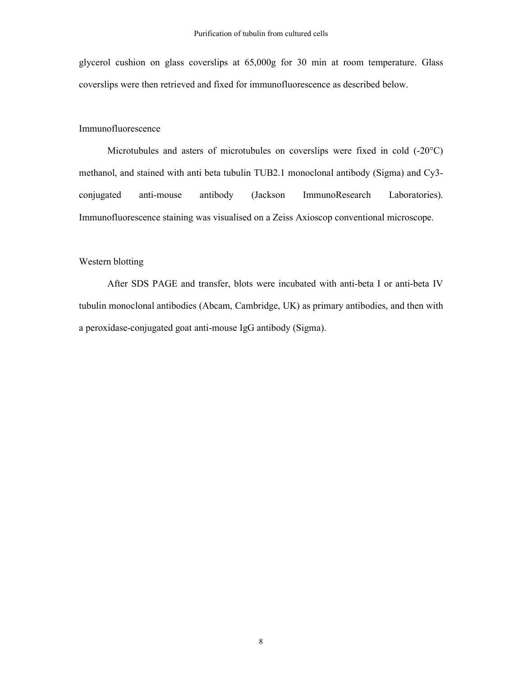glycerol cushion on glass coverslips at 65,000g for 30 min at room temperature. Glass coverslips were then retrieved and fixed for immunofluorescence as described below.

#### Immunofluorescence

Microtubules and asters of microtubules on coverslips were fixed in cold (-20°C) methanol, and stained with anti beta tubulin TUB2.1 monoclonal antibody (Sigma) and Cy3 conjugated anti-mouse antibody (Jackson ImmunoResearch Laboratories). Immunofluorescence staining was visualised on a Zeiss Axioscop conventional microscope.

#### Western blotting

After SDS PAGE and transfer, blots were incubated with anti-beta I or anti-beta IV tubulin monoclonal antibodies (Abcam, Cambridge, UK) as primary antibodies, and then with a peroxidase-conjugated goat anti-mouse IgG antibody (Sigma).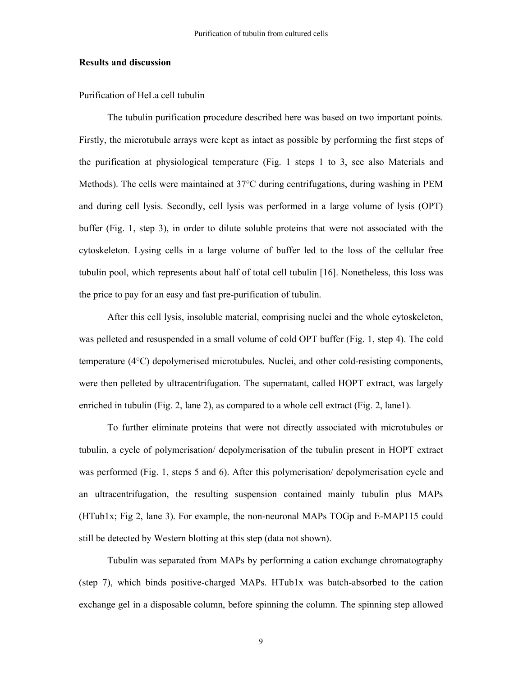#### **Results and discussion**

Purification of HeLa cell tubulin

The tubulin purification procedure described here was based on two important points. Firstly, the microtubule arrays were kept as intact as possible by performing the first steps of the purification at physiological temperature (Fig. 1 steps 1 to 3, see also Materials and Methods). The cells were maintained at 37°C during centrifugations, during washing in PEM and during cell lysis. Secondly, cell lysis was performed in a large volume of lysis (OPT) buffer (Fig. 1, step 3), in order to dilute soluble proteins that were not associated with the cytoskeleton. Lysing cells in a large volume of buffer led to the loss of the cellular free tubulin pool, which represents about half of total cell tubulin [16]. Nonetheless, this loss was the price to pay for an easy and fast pre-purification of tubulin.

After this cell lysis, insoluble material, comprising nuclei and the whole cytoskeleton, was pelleted and resuspended in a small volume of cold OPT buffer (Fig. 1, step 4). The cold temperature (4°C) depolymerised microtubules. Nuclei, and other cold-resisting components, were then pelleted by ultracentrifugation. The supernatant, called HOPT extract, was largely enriched in tubulin (Fig. 2, lane 2), as compared to a whole cell extract (Fig. 2, lane1).

To further eliminate proteins that were not directly associated with microtubules or tubulin, a cycle of polymerisation/ depolymerisation of the tubulin present in HOPT extract was performed (Fig. 1, steps 5 and 6). After this polymerisation/ depolymerisation cycle and an ultracentrifugation, the resulting suspension contained mainly tubulin plus MAPs (HTub1x; Fig 2, lane 3). For example, the non-neuronal MAPs TOGp and E-MAP115 could still be detected by Western blotting at this step (data not shown).

Tubulin was separated from MAPs by performing a cation exchange chromatography (step 7), which binds positive-charged MAPs. HTub1x was batch-absorbed to the cation exchange gel in a disposable column, before spinning the column. The spinning step allowed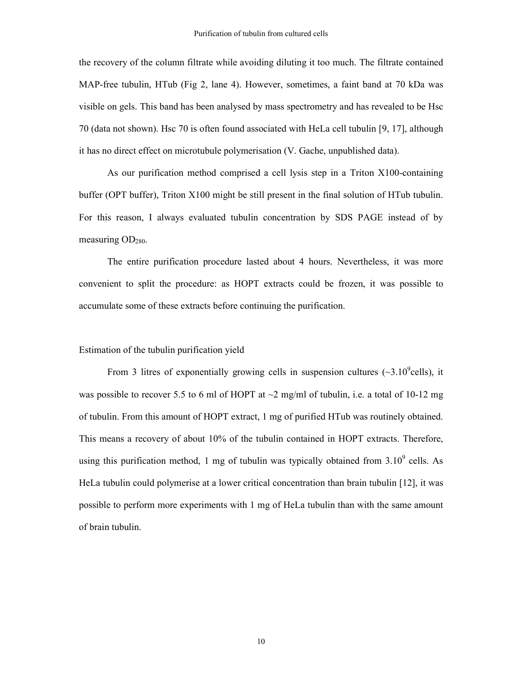the recovery of the column filtrate while avoiding diluting it too much. The filtrate contained MAP-free tubulin, HTub (Fig 2, lane 4). However, sometimes, a faint band at 70 kDa was visible on gels. This band has been analysed by mass spectrometry and has revealed to be Hsc 70 (data not shown). Hsc 70 is often found associated with HeLa cell tubulin [9, 17], although it has no direct effect on microtubule polymerisation (V. Gache, unpublished data).

As our purification method comprised a cell lysis step in a Triton X100-containing buffer (OPT buffer), Triton X100 might be still present in the final solution of HTub tubulin. For this reason, I always evaluated tubulin concentration by SDS PAGE instead of by measuring  $OD<sub>280</sub>$ .

The entire purification procedure lasted about 4 hours. Nevertheless, it was more convenient to split the procedure: as HOPT extracts could be frozen, it was possible to accumulate some of these extracts before continuing the purification.

#### Estimation of the tubulin purification yield

From 3 litres of exponentially growing cells in suspension cultures  $(\sim3.10^9$ cells), it was possible to recover 5.5 to 6 ml of HOPT at  $\sim$ 2 mg/ml of tubulin, i.e. a total of 10-12 mg of tubulin. From this amount of HOPT extract, 1 mg of purified HTub was routinely obtained. This means a recovery of about 10% of the tubulin contained in HOPT extracts. Therefore, using this purification method, 1 mg of tubulin was typically obtained from  $3.10^9$  cells. As HeLa tubulin could polymerise at a lower critical concentration than brain tubulin [12], it was possible to perform more experiments with 1 mg of HeLa tubulin than with the same amount of brain tubulin.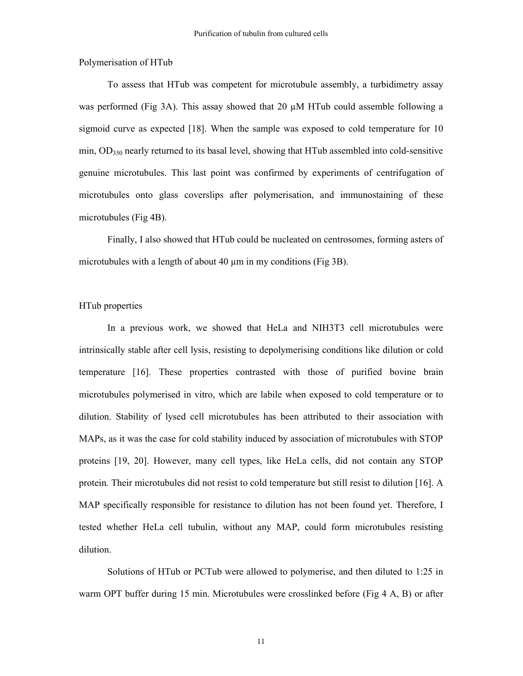Polymerisation of HTub

To assess that HTub was competent for microtubule assembly, a turbidimetry assay was performed (Fig 3A). This assay showed that 20  $\mu$ M HTub could assemble following a sigmoid curve as expected [18]. When the sample was exposed to cold temperature for 10 min, OD<sub>350</sub> nearly returned to its basal level, showing that HTub assembled into cold-sensitive genuine microtubules. This last point was confirmed by experiments of centrifugation of microtubules onto glass coverslips after polymerisation, and immunostaining of these microtubules (Fig 4B).

Finally, I also showed that HTub could be nucleated on centrosomes, forming asters of microtubules with a length of about 40  $\mu$ m in my conditions (Fig 3B).

#### HTub properties

In a previous work, we showed that HeLa and NIH3T3 cell microtubules were intrinsically stable after cell lysis, resisting to depolymerising conditions like dilution or cold temperature [16]. These properties contrasted with those of purified bovine brain microtubules polymerised in vitro, which are labile when exposed to cold temperature or to dilution. Stability of lysed cell microtubules has been attributed to their association with MAPs, as it was the case for cold stability induced by association of microtubules with STOP proteins [19, 20]. However, many cell types, like HeLa cells, did not contain any STOP protein. Their microtubules did not resist to cold temperature but still resist to dilution [16]. A MAP specifically responsible for resistance to dilution has not been found yet. Therefore, I tested whether HeLa cell tubulin, without any MAP, could form microtubules resisting dilution.

Solutions of HTub or PCTub were allowed to polymerise, and then diluted to 1:25 in warm OPT buffer during 15 min. Microtubules were crosslinked before (Fig 4 A, B) or after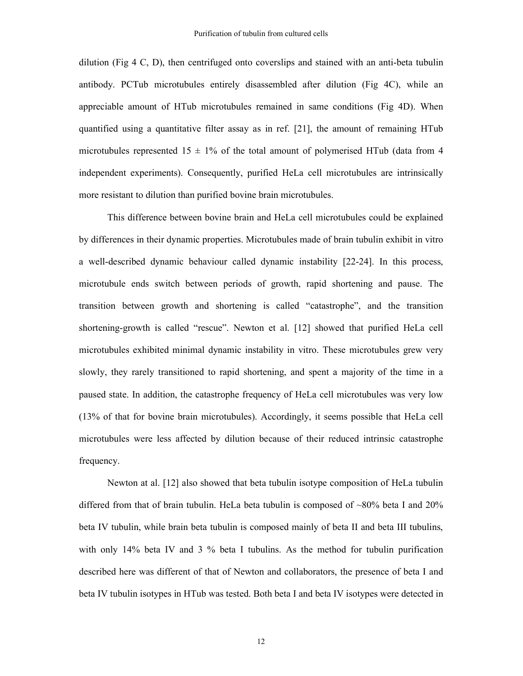dilution (Fig 4 C, D), then centrifuged onto coverslips and stained with an anti-beta tubulin antibody. PCTub microtubules entirely disassembled after dilution (Fig 4C), while an appreciable amount of HTub microtubules remained in same conditions (Fig 4D). When quantified using a quantitative filter assay as in ref. [21], the amount of remaining HTub microtubules represented  $15 \pm 1\%$  of the total amount of polymerised HTub (data from 4 independent experiments). Consequently, purified HeLa cell microtubules are intrinsically more resistant to dilution than purified bovine brain microtubules.

This difference between bovine brain and HeLa cell microtubules could be explained by differences in their dynamic properties. Microtubules made of brain tubulin exhibit in vitro a well-described dynamic behaviour called dynamic instability [22-24]. In this process, microtubule ends switch between periods of growth, rapid shortening and pause. The transition between growth and shortening is called "catastrophe", and the transition shortening-growth is called "rescue". Newton et al. [12] showed that purified HeLa cell microtubules exhibited minimal dynamic instability in vitro. These microtubules grew very slowly, they rarely transitioned to rapid shortening, and spent a majority of the time in a paused state. In addition, the catastrophe frequency of HeLa cell microtubules was very low (13% of that for bovine brain microtubules). Accordingly, it seems possible that HeLa cell microtubules were less affected by dilution because of their reduced intrinsic catastrophe frequency.

Newton at al. [12] also showed that beta tubulin isotype composition of HeLa tubulin differed from that of brain tubulin. HeLa beta tubulin is composed of ~80% beta I and 20% beta IV tubulin, while brain beta tubulin is composed mainly of beta II and beta III tubulins, with only 14% beta IV and 3 % beta I tubulins. As the method for tubulin purification described here was different of that of Newton and collaborators, the presence of beta I and beta IV tubulin isotypes in HTub was tested. Both beta I and beta IV isotypes were detected in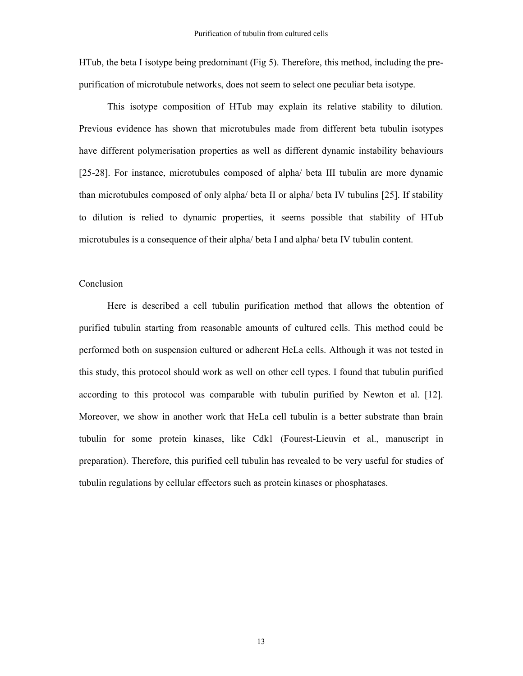HTub, the beta I isotype being predominant (Fig 5). Therefore, this method, including the prepurification of microtubule networks, does not seem to select one peculiar beta isotype.

This isotype composition of HTub may explain its relative stability to dilution. Previous evidence has shown that microtubules made from different beta tubulin isotypes have different polymerisation properties as well as different dynamic instability behaviours [25-28]. For instance, microtubules composed of alpha/ beta III tubulin are more dynamic than microtubules composed of only alpha/ beta II or alpha/ beta IV tubulins [25]. If stability to dilution is relied to dynamic properties, it seems possible that stability of HTub microtubules is a consequence of their alpha/ beta I and alpha/ beta IV tubulin content.

#### Conclusion

Here is described a cell tubulin purification method that allows the obtention of purified tubulin starting from reasonable amounts of cultured cells. This method could be performed both on suspension cultured or adherent HeLa cells. Although it was not tested in this study, this protocol should work as well on other cell types. I found that tubulin purified according to this protocol was comparable with tubulin purified by Newton et al. [12]. Moreover, we show in another work that HeLa cell tubulin is a better substrate than brain tubulin for some protein kinases, like Cdk1 (Fourest-Lieuvin et al., manuscript in preparation). Therefore, this purified cell tubulin has revealed to be very useful for studies of tubulin regulations by cellular effectors such as protein kinases or phosphatases.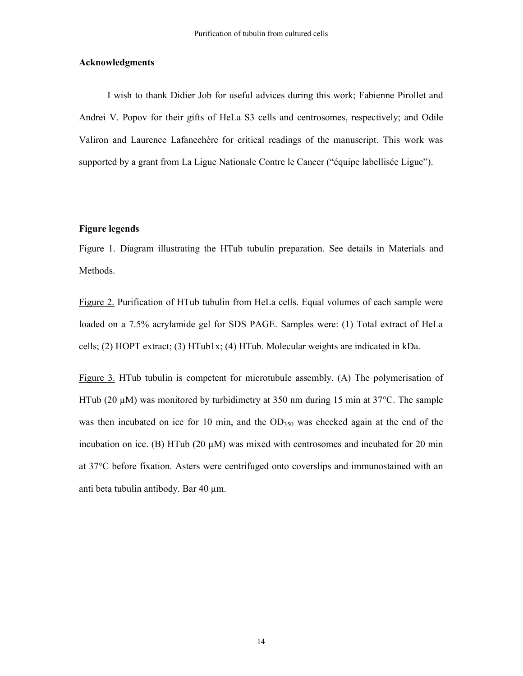#### **Acknowledgments**

I wish to thank Didier Job for useful advices during this work; Fabienne Pirollet and Andrei V. Popov for their gifts of HeLa S3 cells and centrosomes, respectively; and Odile Valiron and Laurence Lafanechère for critical readings of the manuscript. This work was supported by a grant from La Ligue Nationale Contre le Cancer ("équipe labellisée Ligue").

#### **Figure legends**

Figure 1. Diagram illustrating the HTub tubulin preparation. See details in Materials and Methods.

Figure 2. Purification of HTub tubulin from HeLa cells. Equal volumes of each sample were loaded on a 7.5% acrylamide gel for SDS PAGE. Samples were: (1) Total extract of HeLa cells; (2) HOPT extract; (3) HTub1x; (4) HTub. Molecular weights are indicated in kDa.

Figure 3. HTub tubulin is competent for microtubule assembly. (A) The polymerisation of HTub (20  $\mu$ M) was monitored by turbidimetry at 350 nm during 15 min at 37 $\degree$ C. The sample was then incubated on ice for 10 min, and the OD<sub>350</sub> was checked again at the end of the incubation on ice. (B) HTub (20  $\mu$ M) was mixed with centrosomes and incubated for 20 min at 37°C before fixation. Asters were centrifuged onto coverslips and immunostained with an anti beta tubulin antibody. Bar 40 µm.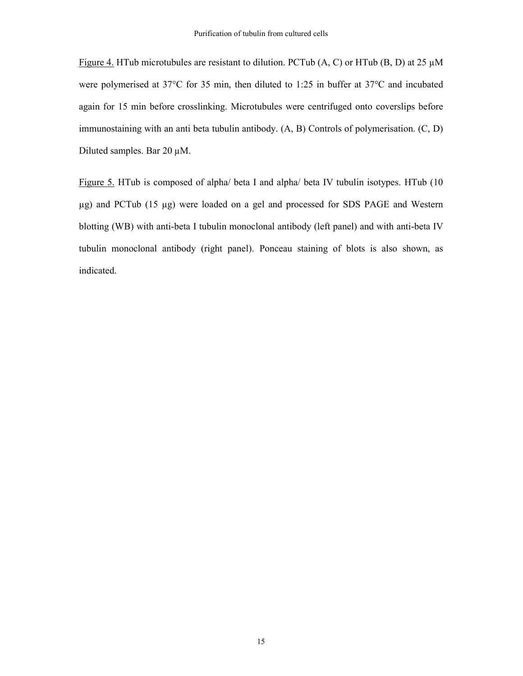Figure 4. HTub microtubules are resistant to dilution. PCTub  $(A, C)$  or HTub  $(B, D)$  at 25  $\mu$ M were polymerised at 37°C for 35 min, then diluted to 1:25 in buffer at 37°C and incubated again for 15 min before crosslinking. Microtubules were centrifuged onto coverslips before immunostaining with an anti beta tubulin antibody. (A, B) Controls of polymerisation. (C, D) Diluted samples. Bar 20 µM.

Figure 5. HTub is composed of alpha/ beta I and alpha/ beta IV tubulin isotypes. HTub (10 µg) and PCTub (15 µg) were loaded on a gel and processed for SDS PAGE and Western blotting (WB) with anti-beta I tubulin monoclonal antibody (left panel) and with anti-beta IV tubulin monoclonal antibody (right panel). Ponceau staining of blots is also shown, as indicated.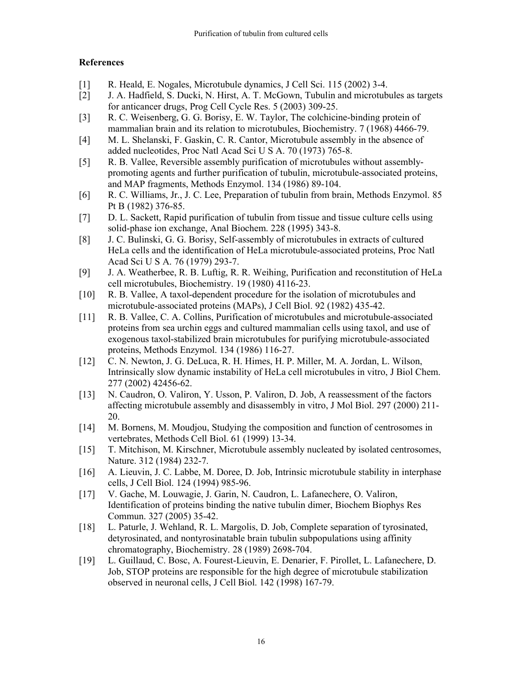### **References**

- [1] R. Heald, E. Nogales, Microtubule dynamics, J Cell Sci. 115 (2002) 3-4.
- [2] J. A. Hadfield, S. Ducki, N. Hirst, A. T. McGown, Tubulin and microtubules as targets for anticancer drugs, Prog Cell Cycle Res. 5 (2003) 309-25.
- [3] R. C. Weisenberg, G. G. Borisy, E. W. Taylor, The colchicine-binding protein of mammalian brain and its relation to microtubules, Biochemistry. 7 (1968) 4466-79.
- [4] M. L. Shelanski, F. Gaskin, C. R. Cantor, Microtubule assembly in the absence of added nucleotides, Proc Natl Acad Sci U S A. 70 (1973) 765-8.
- [5] R. B. Vallee, Reversible assembly purification of microtubules without assemblypromoting agents and further purification of tubulin, microtubule-associated proteins, and MAP fragments, Methods Enzymol. 134 (1986) 89-104.
- [6] R. C. Williams, Jr., J. C. Lee, Preparation of tubulin from brain, Methods Enzymol. 85 Pt B (1982) 376-85.
- [7] D. L. Sackett, Rapid purification of tubulin from tissue and tissue culture cells using solid-phase ion exchange, Anal Biochem. 228 (1995) 343-8.
- [8] J. C. Bulinski, G. G. Borisy, Self-assembly of microtubules in extracts of cultured HeLa cells and the identification of HeLa microtubule-associated proteins, Proc Natl Acad Sci U S A. 76 (1979) 293-7.
- [9] J. A. Weatherbee, R. B. Luftig, R. R. Weihing, Purification and reconstitution of HeLa cell microtubules, Biochemistry. 19 (1980) 4116-23.
- [10] R. B. Vallee, A taxol-dependent procedure for the isolation of microtubules and microtubule-associated proteins (MAPs), J Cell Biol. 92 (1982) 435-42.
- [11] R. B. Vallee, C. A. Collins, Purification of microtubules and microtubule-associated proteins from sea urchin eggs and cultured mammalian cells using taxol, and use of exogenous taxol-stabilized brain microtubules for purifying microtubule-associated proteins, Methods Enzymol. 134 (1986) 116-27.
- [12] C. N. Newton, J. G. DeLuca, R. H. Himes, H. P. Miller, M. A. Jordan, L. Wilson, Intrinsically slow dynamic instability of HeLa cell microtubules in vitro, J Biol Chem. 277 (2002) 42456-62.
- [13] N. Caudron, O. Valiron, Y. Usson, P. Valiron, D. Job, A reassessment of the factors affecting microtubule assembly and disassembly in vitro, J Mol Biol. 297 (2000) 211- 20.
- [14] M. Bornens, M. Moudjou, Studying the composition and function of centrosomes in vertebrates, Methods Cell Biol. 61 (1999) 13-34.
- [15] T. Mitchison, M. Kirschner, Microtubule assembly nucleated by isolated centrosomes, Nature. 312 (1984) 232-7.
- [16] A. Lieuvin, J. C. Labbe, M. Doree, D. Job, Intrinsic microtubule stability in interphase cells, J Cell Biol. 124 (1994) 985-96.
- [17] V. Gache, M. Louwagie, J. Garin, N. Caudron, L. Lafanechere, O. Valiron, Identification of proteins binding the native tubulin dimer, Biochem Biophys Res Commun. 327 (2005) 35-42.
- [18] L. Paturle, J. Wehland, R. L. Margolis, D. Job, Complete separation of tyrosinated, detyrosinated, and nontyrosinatable brain tubulin subpopulations using affinity chromatography, Biochemistry. 28 (1989) 2698-704.
- [19] L. Guillaud, C. Bosc, A. Fourest-Lieuvin, E. Denarier, F. Pirollet, L. Lafanechere, D. Job, STOP proteins are responsible for the high degree of microtubule stabilization observed in neuronal cells, J Cell Biol. 142 (1998) 167-79.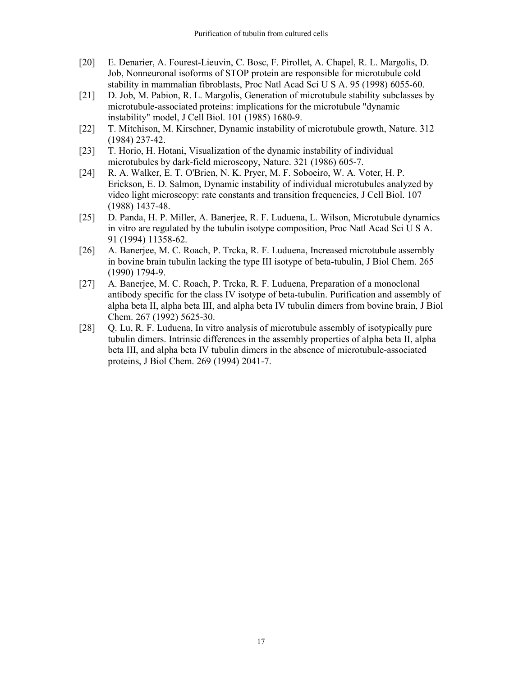- [20] E. Denarier, A. Fourest-Lieuvin, C. Bosc, F. Pirollet, A. Chapel, R. L. Margolis, D. Job, Nonneuronal isoforms of STOP protein are responsible for microtubule cold stability in mammalian fibroblasts, Proc Natl Acad Sci U S A. 95 (1998) 6055-60.
- [21] D. Job, M. Pabion, R. L. Margolis, Generation of microtubule stability subclasses by microtubule-associated proteins: implications for the microtubule "dynamic instability" model, J Cell Biol. 101 (1985) 1680-9.
- [22] T. Mitchison, M. Kirschner, Dynamic instability of microtubule growth, Nature. 312 (1984) 237-42.
- [23] T. Horio, H. Hotani, Visualization of the dynamic instability of individual microtubules by dark-field microscopy, Nature. 321 (1986) 605-7.
- [24] R. A. Walker, E. T. O'Brien, N. K. Pryer, M. F. Soboeiro, W. A. Voter, H. P. Erickson, E. D. Salmon, Dynamic instability of individual microtubules analyzed by video light microscopy: rate constants and transition frequencies, J Cell Biol. 107 (1988) 1437-48.
- [25] D. Panda, H. P. Miller, A. Banerjee, R. F. Luduena, L. Wilson, Microtubule dynamics in vitro are regulated by the tubulin isotype composition, Proc Natl Acad Sci U S A. 91 (1994) 11358-62.
- [26] A. Banerjee, M. C. Roach, P. Trcka, R. F. Luduena, Increased microtubule assembly in bovine brain tubulin lacking the type III isotype of beta-tubulin, J Biol Chem. 265 (1990) 1794-9.
- [27] A. Banerjee, M. C. Roach, P. Trcka, R. F. Luduena, Preparation of a monoclonal antibody specific for the class IV isotype of beta-tubulin. Purification and assembly of alpha beta II, alpha beta III, and alpha beta IV tubulin dimers from bovine brain, J Biol Chem. 267 (1992) 5625-30.
- [28] Q. Lu, R. F. Luduena, In vitro analysis of microtubule assembly of isotypically pure tubulin dimers. Intrinsic differences in the assembly properties of alpha beta II, alpha beta III, and alpha beta IV tubulin dimers in the absence of microtubule-associated proteins, J Biol Chem. 269 (1994) 2041-7.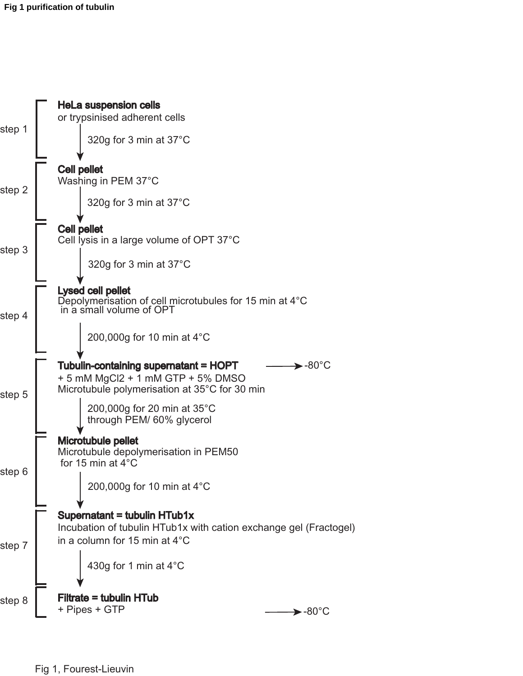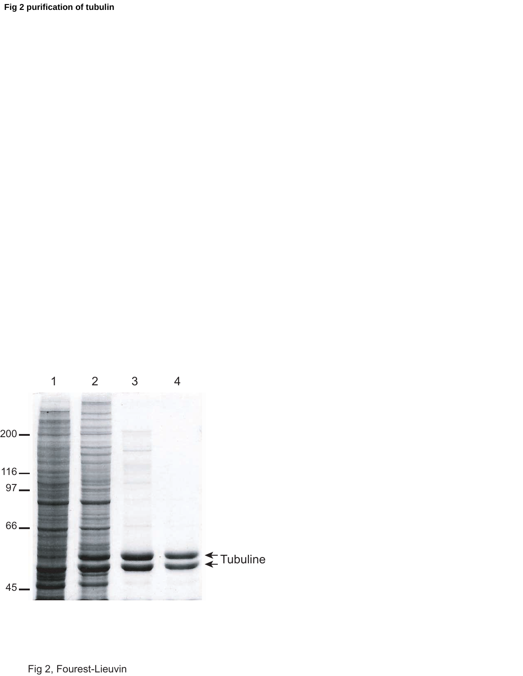**Fig 2 purification of tubulin** 

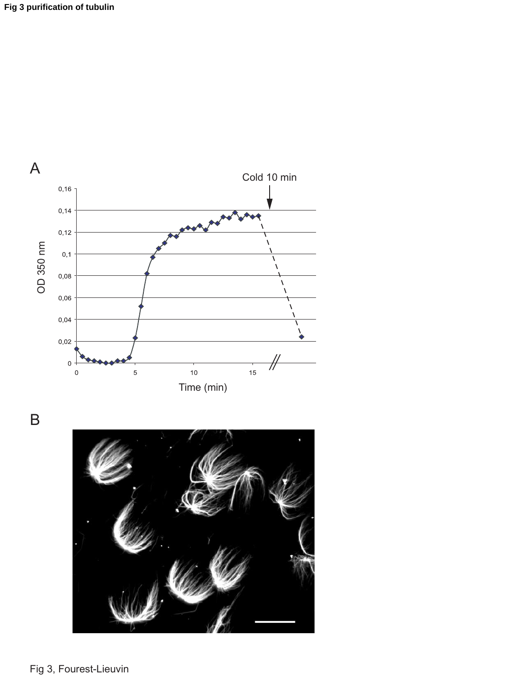

B

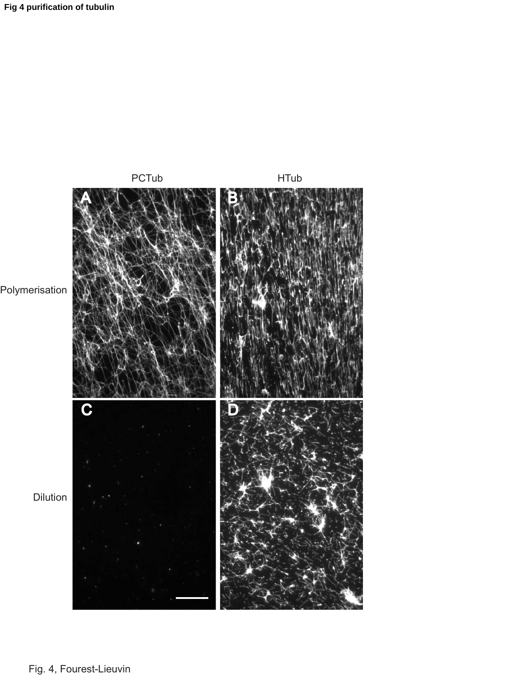